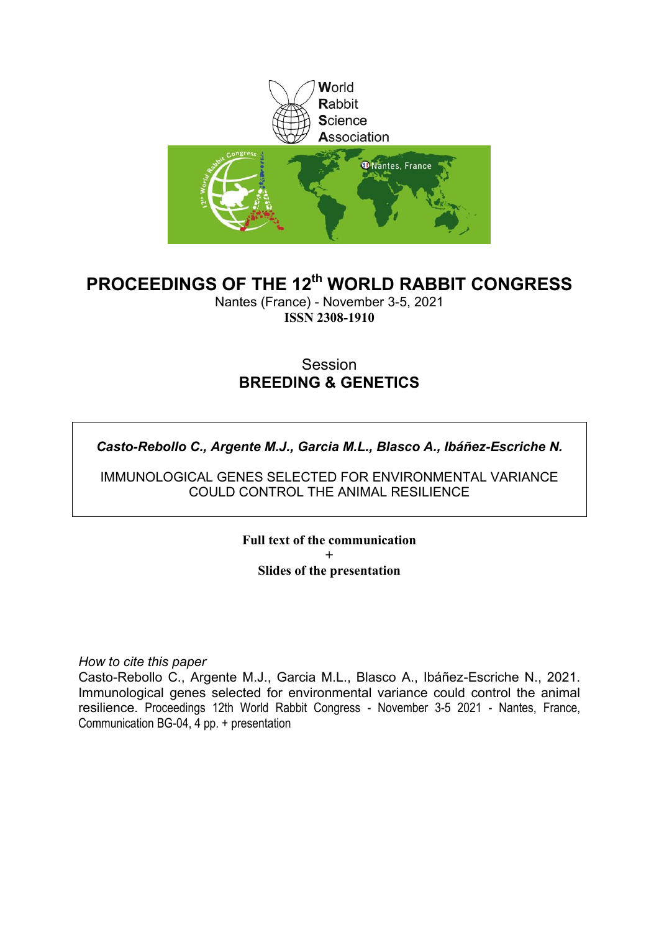

## **PROCEEDINGS OF THE 12th WORLD RABBIT CONGRESS**

Nantes (France) - November 3-5, 2021 **ISSN 2308-1910**

### Session **BREEDING & GENETICS**

*Casto-Rebollo C., Argente M.J., Garcia M.L., Blasco A., Ibáñez-Escriche N.*

IMMUNOLOGICAL GENES SELECTED FOR ENVIRONMENTAL VARIANCE COULD CONTROL THE ANIMAL RESILIENCE

> **Full text of the communication + Slides of the presentation**

*How to cite this paper*

Casto-Rebollo C., Argente M.J., Garcia M.L., Blasco A., Ibáñez-Escriche N., 2021. Immunological genes selected for environmental variance could control the animal resilience. Proceedings 12th World Rabbit Congress - November 3-5 2021 - Nantes, France, Communication BG-04, 4 pp. + presentation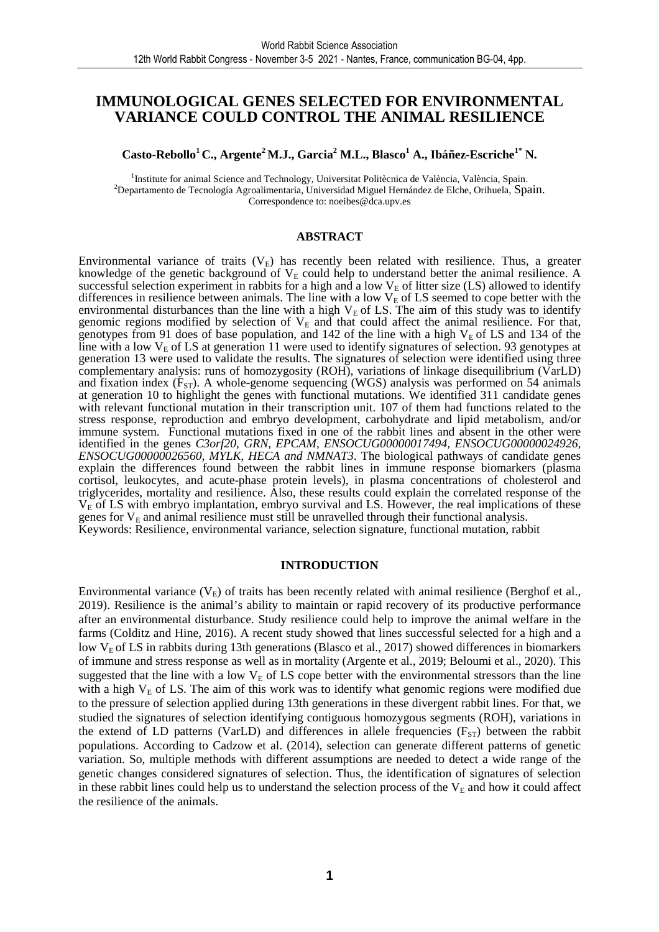### **IMMUNOLOGICAL GENES SELECTED FOR ENVIRONMENTAL VARIANCE COULD CONTROL THE ANIMAL RESILIENCE**

**Casto-Rebollo<sup>1</sup>C., Argente<sup>2</sup>M.J., Garcia<sup>2</sup> M.L., Blasco<sup>1</sup> A., Ibáñez-Escriche1\* N.** 

<sup>1</sup>Institute for animal Science and Technology, Universitat Politècnica de València, València, Spain. <sup>2</sup>Departamento de Tecnología Agroalimentaria, Universidad Miguel Hernández de Elche, Orihuela, Spain. Correspondence to: noeibes@dca.upv.es

#### **ABSTRACT**

Environmental variance of traits  $(V_E)$  has recently been related with resilience. Thus, a greater knowledge of the genetic background of  $V<sub>E</sub>$  could help to understand better the animal resilience. A successful selection experiment in rabbits for a high and a low  $V<sub>E</sub>$  of litter size (LS) allowed to identify differences in resilience between animals. The line with a low  $V<sub>E</sub>$  of LS seemed to cope better with the environmental disturbances than the line with a high  $V<sub>E</sub>$  of LS. The aim of this study was to identify genomic regions modified by selection of  $V_E$  and that could affect the animal resilience. For that, genotypes from 91 does of base population, and 142 of the line with a high  $V<sub>E</sub>$  of LS and 134 of the line with a low  $V<sub>E</sub>$  of LS at generation 11 were used to identify signatures of selection. 93 genotypes at generation 13 were used to validate the results. The signatures of selection were identified using three complementary analysis: runs of homozygosity (ROH), variations of linkage disequilibrium (VarLD) and fixation index  $(F_{ST})$ . A whole-genome sequencing (WGS) analysis was performed on 54 animals at generation 10 to highlight the genes with functional mutations. We identified 311 candidate genes with relevant functional mutation in their transcription unit. 107 of them had functions related to the stress response, reproduction and embryo development, carbohydrate and lipid metabolism, and/or immune system. Functional mutations fixed in one of the rabbit lines and absent in the other were identified in the genes *C3orf20, GRN, EPCAM, ENSOCUG00000017494, ENSOCUG00000024926, ENSOCUG00000026560, MYLK, HECA and NMNAT3*. The biological pathways of candidate genes explain the differences found between the rabbit lines in immune response biomarkers (plasma cortisol, leukocytes, and acute-phase protein levels), in plasma concentrations of cholesterol and triglycerides, mortality and resilience. Also, these results could explain the correlated response of the  $V<sub>E</sub>$  of LS with embryo implantation, embryo survival and LS. However, the real implications of these genes for  $V_E$  and animal resilience must still be unravelled through their functional analysis. Keywords: Resilience, environmental variance, selection signature, functional mutation, rabbit

#### **INTRODUCTION**

Environmental variance  $(V_E)$  of traits has been recently related with animal resilience (Berghof et al., 2019). Resilience is the animal's ability to maintain or rapid recovery of its productive performance after an environmental disturbance. Study resilience could help to improve the animal welfare in the farms (Colditz and Hine, 2016). A recent study showed that lines successful selected for a high and a low  $V<sub>E</sub>$  of LS in rabbits during 13th generations (Blasco et al., 2017) showed differences in biomarkers of immune and stress response as well as in mortality (Argente et al., 2019; Beloumi et al., 2020). This suggested that the line with a low  $V_E$  of LS cope better with the environmental stressors than the line with a high  $V<sub>E</sub>$  of LS. The aim of this work was to identify what genomic regions were modified due to the pressure of selection applied during 13th generations in these divergent rabbit lines. For that, we studied the signatures of selection identifying contiguous homozygous segments (ROH), variations in the extend of LD patterns (VarLD) and differences in allele frequencies  $(F_{ST})$  between the rabbit populations. According to Cadzow et al. (2014), selection can generate different patterns of genetic variation. So, multiple methods with different assumptions are needed to detect a wide range of the genetic changes considered signatures of selection. Thus, the identification of signatures of selection in these rabbit lines could help us to understand the selection process of the  $V_E$  and how it could affect the resilience of the animals.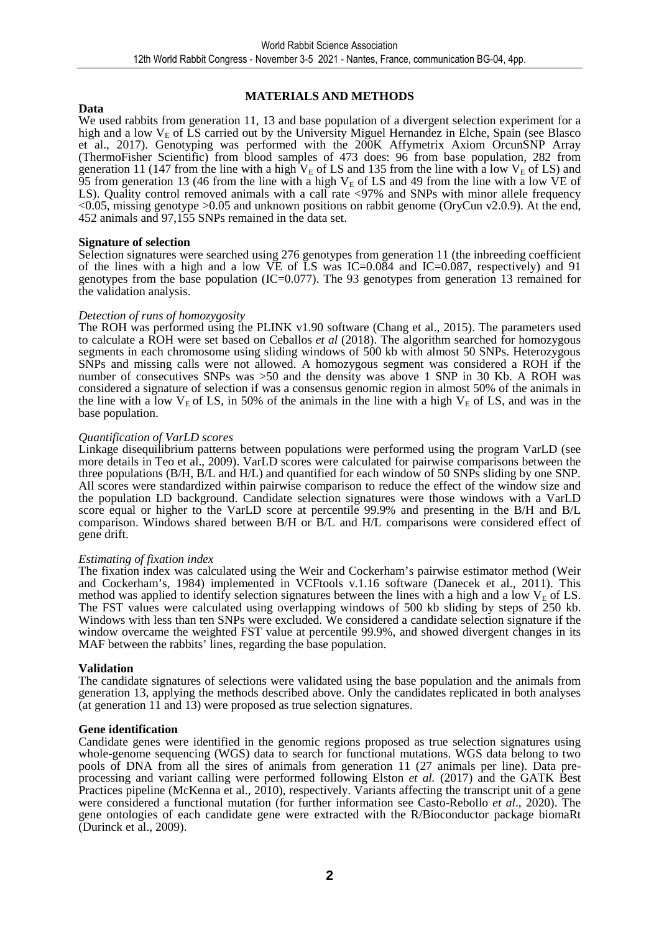#### **Data**

#### **MATERIALS AND METHODS**

We used rabbits from generation 11, 13 and base population of a divergent selection experiment for a high and a low  $V_E$  of  $\overline{L}S$  carried out by the University Miguel Hernandez in Elche, Spain (see Blasco et al., 2017). Genotyping was performed with the 200K Affymetrix Axiom OrcunSNP Array (ThermoFisher Scientific) from blood samples of 473 does: 96 from base population, 282 from generation 11 (147 from the line with a high  $V_E$  of LS and 135 from the line with a low  $V_E$  of LS) and 95 from generation 13 (46 from the line with a high  $V<sub>E</sub>$  of LS and 49 from the line with a low VE of LS). Quality control removed animals with a call rate <97% and SNPs with minor allele frequency <0.05, missing genotype >0.05 and unknown positions on rabbit genome (OryCun v2.0.9). At the end, 452 animals and 97,155 SNPs remained in the data set.

#### **Signature of selection**

Selection signatures were searched using 276 genotypes from generation 11 (the inbreeding coefficient of the lines with a high and a low VE of LS was IC=0.084 and IC=0.087, respectively) and 91 genotypes from the base population (IC=0.077). The 93 genotypes from generation 13 remained for the validation analysis.

#### *Detection of runs of homozygosity*

The ROH was performed using the PLINK v1.90 software (Chang et al., 2015). The parameters used to calculate a ROH were set based on Ceballos *et al* (2018). The algorithm searched for homozygous segments in each chromosome using sliding windows of 500 kb with almost 50 SNPs. Heterozygous SNPs and missing calls were not allowed. A homozygous segment was considered a ROH if the number of consecutives SNPs was >50 and the density was above 1 SNP in 30 Kb. A ROH was considered a signature of selection if was a consensus genomic region in almost 50% of the animals in the line with a low  $V_E$  of LS, in 50% of the animals in the line with a high  $V_E$  of LS, and was in the base population.

#### *Quantification of VarLD scores*

Linkage disequilibrium patterns between populations were performed using the program VarLD (see more details in Teo et al., 2009). VarLD scores were calculated for pairwise comparisons between the three populations (B/H, B/L and H/L) and quantified for each window of 50 SNPs sliding by one SNP. All scores were standardized within pairwise comparison to reduce the effect of the window size and the population LD background. Candidate selection signatures were those windows with a VarLD score equal or higher to the VarLD score at percentile 99.9% and presenting in the B/H and B/L comparison. Windows shared between B/H or B/L and H/L comparisons were considered effect of gene drift.

#### *Estimating of fixation index*

The fixation index was calculated using the Weir and Cockerham's pairwise estimator method (Weir and Cockerham's, 1984) implemented in VCFtools v.1.16 software (Danecek et al., 2011). This method was applied to identify selection signatures between the lines with a high and a low  $V<sub>E</sub>$  of LS. The FST values were calculated using overlapping windows of 500 kb sliding by steps of 250 kb. Windows with less than ten SNPs were excluded. We considered a candidate selection signature if the window overcame the weighted FST value at percentile 99.9%, and showed divergent changes in its MAF between the rabbits' lines, regarding the base population.

#### **Validation**

The candidate signatures of selections were validated using the base population and the animals from generation 13, applying the methods described above. Only the candidates replicated in both analyses (at generation  $11$  and  $13$ ) were proposed as true selection signatures.

#### **Gene identification**

Candidate genes were identified in the genomic regions proposed as true selection signatures using whole-genome sequencing (WGS) data to search for functional mutations. WGS data belong to two pools of DNA from all the sires of animals from generation 11 (27 animals per line). Data preprocessing and variant calling were performed following Elston *et al.* (2017) and the GATK Best Practices pipeline (McKenna et al., 2010), respectively. Variants affecting the transcript unit of a gene were considered a functional mutation (for further information see Casto-Rebollo *et al*., 2020). The gene ontologies of each candidate gene were extracted with the R/Bioconductor package biomaRt (Durinck et al., 2009).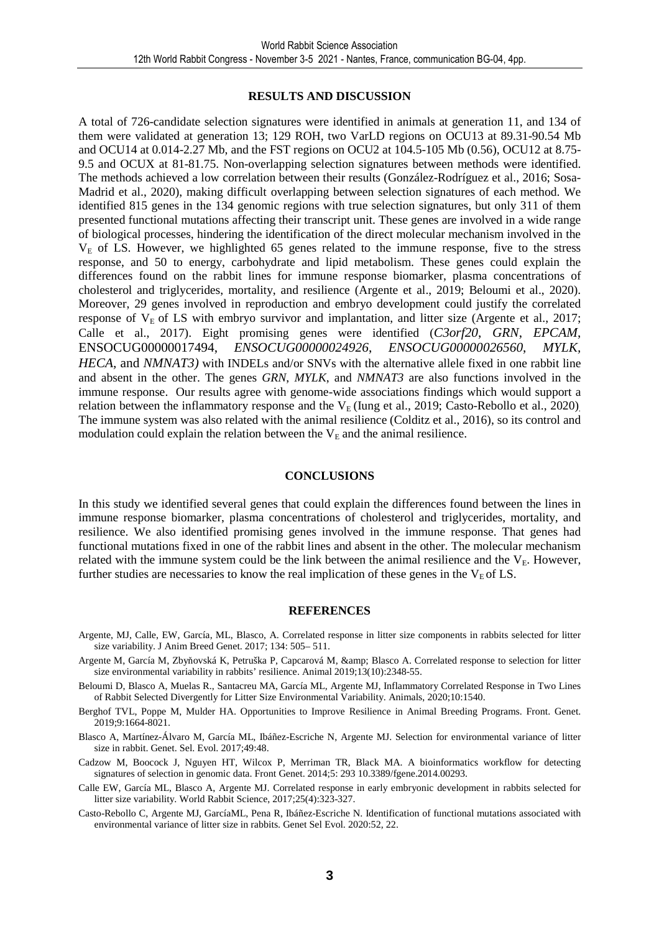#### **RESULTS AND DISCUSSION**

A total of 726-candidate selection signatures were identified in animals at generation 11, and 134 of them were validated at generation 13; 129 ROH, two VarLD regions on OCU13 at 89.31-90.54 Mb and OCU14 at 0.014-2.27 Mb, and the FST regions on OCU2 at 104.5-105 Mb (0.56), OCU12 at 8.75- 9.5 and OCUX at 81-81.75. Non-overlapping selection signatures between methods were identified. The methods achieved a low correlation between their results (González-Rodríguez et al., 2016; Sosa-Madrid et al., 2020), making difficult overlapping between selection signatures of each method. We identified 815 genes in the 134 genomic regions with true selection signatures, but only 311 of them presented functional mutations affecting their transcript unit. These genes are involved in a wide range of biological processes, hindering the identification of the direct molecular mechanism involved in the  $V<sub>E</sub>$  of LS. However, we highlighted 65 genes related to the immune response, five to the stress response, and 50 to energy, carbohydrate and lipid metabolism. These genes could explain the differences found on the rabbit lines for immune response biomarker, plasma concentrations of cholesterol and triglycerides, mortality, and resilience (Argente et al., 2019; Beloumi et al., 2020). Moreover, 29 genes involved in reproduction and embryo development could justify the correlated response of  $V<sub>E</sub>$  of LS with embryo survivor and implantation, and litter size (Argente et al., 2017; Calle et al., 2017). Eight promising genes were identified (*C3orf20*, *GRN*, *EPCAM*, ENSOCUG00000017494, *ENSOCUG00000024926*, *ENSOCUG00000026560*, *MYLK, HECA,* and *NMNAT3*) with INDELs and/or SNVs with the alternative allele fixed in one rabbit line and absent in the other. The genes *GRN*, *MYLK*, and *NMNAT3* are also functions involved in the immune response. Our results agree with genome-wide associations findings which would support a relation between the inflammatory response and the  $V_F$  (Iung et al., 2019; Casto-Rebollo et al., 2020). The immune system was also related with the animal resilience (Colditz et al., 2016), so its control and modulation could explain the relation between the  $V<sub>E</sub>$  and the animal resilience.

#### **CONCLUSIONS**

In this study we identified several genes that could explain the differences found between the lines in immune response biomarker, plasma concentrations of cholesterol and triglycerides, mortality, and resilience. We also identified promising genes involved in the immune response. That genes had functional mutations fixed in one of the rabbit lines and absent in the other. The molecular mechanism related with the immune system could be the link between the animal resilience and the  $V_E$ . However, further studies are necessaries to know the real implication of these genes in the  $V<sub>E</sub>$  of LS.

#### **REFERENCES**

- Argente, MJ, Calle, EW, García, ML, Blasco, A. Correlated response in litter size components in rabbits selected for litter size variability. J Anim Breed Genet. 2017; 134: 505– 511.
- Argente M, García M, Zbyňovská K, Petruška P, Capcarová M, & amp; Blasco A. Correlated response to selection for litter size environmental variability in rabbits' resilience. Animal 2019;13(10):2348-55.
- Beloumi D, Blasco A, Muelas R., Santacreu MA, García ML, Argente MJ, Inflammatory Correlated Response in Two Lines of Rabbit Selected Divergently for Litter Size Environmental Variability. Animals, 2020;10:1540.
- Berghof TVL, Poppe M, Mulder HA. Opportunities to Improve Resilience in Animal Breeding Programs. Front. Genet. 2019;9:1664-8021.
- Blasco A, Martínez-Álvaro M, García ML, Ibáñez-Escriche N, Argente MJ. Selection for environmental variance of litter size in rabbit. Genet. Sel. Evol. 2017;49:48.
- Cadzow M, Boocock J, Nguyen HT, Wilcox P, Merriman TR, Black MA. A bioinformatics workflow for detecting signatures of selection in genomic data. Front Genet. 2014;5: 293 10.3389/fgene.2014.00293.
- Calle EW, García ML, Blasco A, Argente MJ. Correlated response in early embryonic development in rabbits selected for litter size variability. World Rabbit Science, 2017;25(4):323-327.
- Casto-Rebollo C, Argente MJ, GarcíaML, Pena R, Ibáñez-Escriche N. Identification of functional mutations associated with environmental variance of litter size in rabbits. Genet Sel Evol. 2020:52, 22.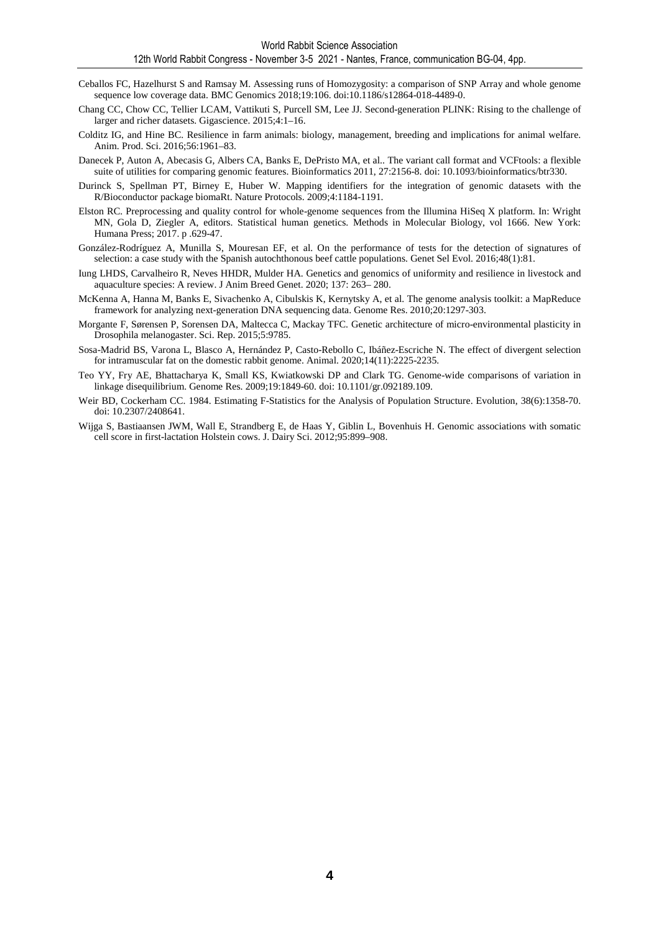- Ceballos FC, Hazelhurst S and Ramsay M. Assessing runs of Homozygosity: a comparison of SNP Array and whole genome sequence low coverage data. BMC Genomics 2018;19:106. doi:10.1186/s12864-018-4489-0.
- Chang CC, Chow CC, Tellier LCAM, Vattikuti S, Purcell SM, Lee JJ. Second-generation PLINK: Rising to the challenge of larger and richer datasets. Gigascience. 2015;4:1–16.
- Colditz IG, and Hine BC. Resilience in farm animals: biology, management, breeding and implications for animal welfare. Anim. Prod. Sci. 2016;56:1961–83.
- Danecek P, Auton A, Abecasis G, Albers CA, Banks E, DePristo MA, et al.. The variant call format and VCFtools: a flexible suite of utilities for comparing genomic features. Bioinformatics 2011, 27:2156-8. doi: 10.1093/bioinformatics/btr330.
- Durinck S, Spellman PT, Birney E, Huber W. Mapping identifiers for the integration of genomic datasets with the R/Bioconductor package biomaRt. Nature Protocols. 2009;4:1184-1191.
- Elston RC. Preprocessing and quality control for whole-genome sequences from the Illumina HiSeq X platform. In: Wright MN, Gola D, Ziegler A, editors. Statistical human genetics. Methods in Molecular Biology, vol 1666. New York: Humana Press; 2017. p .629-47.
- González-Rodríguez A, Munilla S, Mouresan EF, et al. On the performance of tests for the detection of signatures of selection: a case study with the Spanish autochthonous beef cattle populations. Genet Sel Evol. 2016;48(1):81.
- Iung LHDS, Carvalheiro R, Neves HHDR, Mulder HA. Genetics and genomics of uniformity and resilience in livestock and aquaculture species: A review. J Anim Breed Genet. 2020; 137: 263– 280.
- McKenna A, Hanna M, Banks E, Sivachenko A, Cibulskis K, Kernytsky A, et al. The genome analysis toolkit: a MapReduce framework for analyzing next-generation DNA sequencing data. Genome Res. 2010;20:1297-303.
- Morgante F, Sørensen P, Sorensen DA, Maltecca C, Mackay TFC. Genetic architecture of micro-environmental plasticity in Drosophila melanogaster. Sci. Rep. 2015;5:9785.
- Sosa-Madrid BS, Varona L, Blasco A, Hernández P, Casto-Rebollo C, Ibáñez-Escriche N. The effect of divergent selection for intramuscular fat on the domestic rabbit genome. Animal. 2020;14(11):2225-2235.
- Teo YY, Fry AE, Bhattacharya K, Small KS, Kwiatkowski DP and Clark TG. Genome-wide comparisons of variation in linkage disequilibrium. Genome Res. 2009;19:1849-60. doi: 10.1101/gr.092189.109.
- Weir BD, Cockerham CC. 1984. Estimating F-Statistics for the Analysis of Population Structure. Evolution, 38(6):1358-70. doi: 10.2307/2408641.
- Wijga S, Bastiaansen JWM, Wall E, Strandberg E, de Haas Y, Giblin L, Bovenhuis H. Genomic associations with somatic cell score in first-lactation Holstein cows. J. Dairy Sci. 2012;95:899–908.